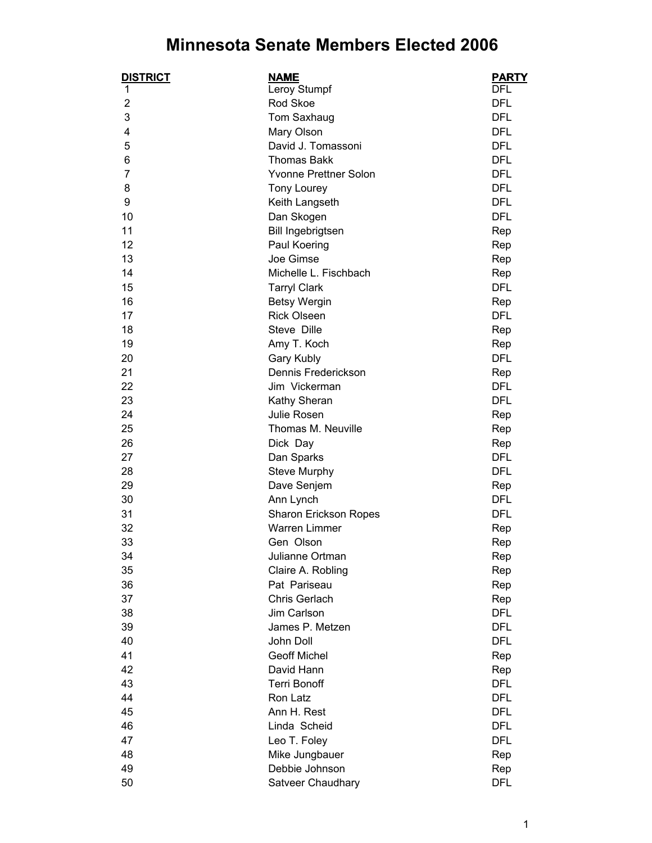## **Minnesota Senate Members Elected 2006**

| <b>DISTRICT</b> | <b>NAME</b>                       | <b>PARTY</b> |
|-----------------|-----------------------------------|--------------|
| 1               | Leroy Stumpf                      | <b>DFL</b>   |
| $\overline{2}$  | Rod Skoe                          | <b>DFL</b>   |
| 3               | Tom Saxhaug                       | <b>DFL</b>   |
| 4               | Mary Olson                        | <b>DFL</b>   |
| 5               | David J. Tomassoni                | <b>DFL</b>   |
| 6               | <b>Thomas Bakk</b>                | <b>DFL</b>   |
| 7               | Yvonne Prettner Solon             | <b>DFL</b>   |
| 8               | Tony Lourey                       | <b>DFL</b>   |
| 9               | Keith Langseth                    | <b>DFL</b>   |
| 10              | Dan Skogen                        | <b>DFL</b>   |
| 11              | Bill Ingebrigtsen                 | Rep          |
| 12              | Paul Koering                      | Rep          |
| 13              | Joe Gimse                         | Rep          |
| 14              | Michelle L. Fischbach             | Rep          |
| 15              | <b>Tarryl Clark</b>               | <b>DFL</b>   |
| 16              | <b>Betsy Wergin</b>               | Rep          |
| 17              | <b>Rick Olseen</b>                | <b>DFL</b>   |
| 18              | Steve Dille                       | Rep          |
| 19              | Amy T. Koch                       | Rep          |
| 20              | Gary Kubly                        | <b>DFL</b>   |
| 21              | Dennis Frederickson               | Rep          |
| 22              | Jim Vickerman                     | <b>DFL</b>   |
| 23              | Kathy Sheran                      | <b>DFL</b>   |
| 24              | Julie Rosen                       | Rep          |
| 25              | Thomas M. Neuville                | Rep          |
| 26              | Dick Day                          | Rep          |
| 27              | Dan Sparks                        | <b>DFL</b>   |
| 28              | <b>Steve Murphy</b>               | <b>DFL</b>   |
| 29              | Dave Senjem                       | Rep          |
| 30              | Ann Lynch                         | <b>DFL</b>   |
| 31              | Sharon Erickson Ropes             | <b>DFL</b>   |
| 32              | <b>Warren Limmer</b>              |              |
| 33              | Gen Olson                         | Rep          |
|                 |                                   | Rep          |
| 34              | Julianne Ortman                   | Rep          |
| 35<br>36        | Claire A. Robling<br>Pat Pariseau | Rep          |
|                 |                                   | Rep          |
| 37              | Chris Gerlach                     | Rep          |
| 38              | Jim Carlson                       | <b>DFL</b>   |
| 39              | James P. Metzen                   | <b>DFL</b>   |
| 40              | John Doll                         | <b>DFL</b>   |
| 41              | <b>Geoff Michel</b>               | Rep          |
| 42              | David Hann                        | Rep          |
| 43              | <b>Terri Bonoff</b>               | <b>DFL</b>   |
| 44              | Ron Latz                          | <b>DFL</b>   |
| 45              | Ann H. Rest                       | <b>DFL</b>   |
| 46              | Linda Scheid                      | <b>DFL</b>   |
| 47              | Leo T. Foley                      | <b>DFL</b>   |
| 48              | Mike Jungbauer                    | Rep          |
| 49              | Debbie Johnson                    | Rep          |
| 50              | Satveer Chaudhary                 | <b>DFL</b>   |